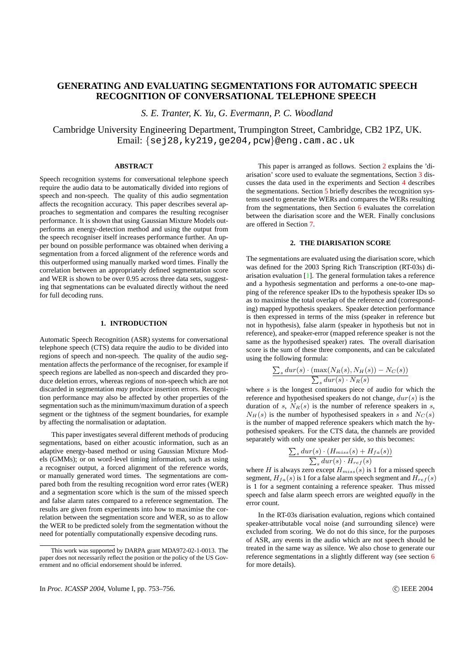# **GENERATING AND EVALUATING SEGMENTATIONS FOR AUTOMATIC SPEECH RECOGNITION OF CONVERSATIONAL TELEPHONE SPEECH**

*S. E. Tranter, K. Yu, G. Evermann, P. C. Woodland*

Cambridge University Engineering Department, Trumpington Street, Cambridge, CB2 1PZ, UK. Email: {sej28,ky219,ge204,pcw}@eng.cam.ac.uk

# **ABSTRACT**

Speech recognition systems for conversational telephone speech require the audio data to be automatically divided into regions of speech and non-speech. The quality of this audio segmentation affects the recognition accuracy. This paper describes several approaches to segmentation and compares the resulting recogniser performance. It is shown that using Gaussian Mixture Models outperforms an energy-detection method and using the output from the speech recogniser itself increases performance further. An upper bound on possible performance was obtained when deriving a segmentation from a forced alignment of the reference words and this outperformed using manually marked word times. Finally the correlation between an appropriately defined segmentation score and WER is shown to be over 0.95 across three data sets, suggesting that segmentations can be evaluated directly without the need for full decoding runs.

## **1. INTRODUCTION**

Automatic Speech Recognition (ASR) systems for conversational telephone speech (CTS) data require the audio to be divided into regions of speech and non-speech. The quality of the audio segmentation affects the performance of the recogniser, for example if speech regions are labelled as non-speech and discarded they produce deletion errors, whereas regions of non-speech which are not discarded in segmentation *may* produce insertion errors. Recognition performance may also be affected by other properties of the segmentation such as the minimum/maximum duration of a speech segment or the tightness of the segment boundaries, for example by affecting the normalisation or adaptation.

This paper investigates several different methods of producing segmentations, based on either acoustic information, such as an adaptive energy-based method or using Gaussian Mixture Models (GMMs); or on word-level timing information, such as using a recogniser output, a forced alignment of the reference words, or manually generated word times. The segmentations are compared both from the resulting recognition word error rates (WER) and a segmentation score which is the sum of the missed speech and false alarm rates compared to a reference segmentation. The results are given from experiments into how to maximise the correlation between the segmentation score and WER, so as to allow the WER to be predicted solely from the segmentation without the need for potentially computationally expensive decoding runs.

This paper is arranged as follows. Section 2 explains the 'diarisation' score used to evaluate the segmentations, Section 3 discusses the data used in the experiments and Section 4 describes the segmentations. Section 5 briefly describes the recognition systems used to generate the WERs and compares the WERs resulting from the segmentations, then Section 6 evaluates the correlation between the diarisation score and the WER. Finally [co](#page-1-0)ncl[usi](#page-1-0)ons are offered in Section 7.

#### **2. THE DIARISATI[ON](#page-2-0) SCORE**

The segmentations are evaluated using the diarisation score, which was defined for the 2[00](#page-3-0)3 Spring Rich Transcription (RT-03s) diarisation evaluation [1]. The general formulation takes a reference and a hypothesis segmentation and performs a one-to-one mapping of the reference speaker IDs to the hypothesis speaker IDs so as to maximise the total overlap of the reference and (corresponding) mapped hypothesis speakers. Speaker detection performance is then expressed in [te](#page-3-0)rms of the miss (speaker in reference but not in hypothesis), false alarm (speaker in hypothesis but not in reference), and speaker-error (mapped reference speaker is not the same as the hypothesised speaker) rates. The overall diarisation score is the sum of these three components, and can be calculated using the following formula:

$$
\frac{\sum_s dur(s) \cdot (\max(N_R(s), N_H(s)) - N_C(s))}{\sum_s dur(s) \cdot N_R(s)}
$$

where  $s$  is the longest continuous piece of audio for which the reference and hypothesised speakers do not change,  $dur(s)$  is the duration of s,  $N_R(s)$  is the number of reference speakers in s,  $N_H(s)$  is the number of hypothesised speakers in s and  $N_C(s)$ is the number of mapped reference speakers which match the hypothesised speakers. For the CTS data, the channels are provided separately with only one speaker per side, so this becomes:

$$
\frac{\sum_s dur(s) \cdot (H_{miss}(s) + H_{fa}(s))}{\sum_s dur(s) \cdot H_{ref}(s)}
$$

where H is always zero except  $H_{miss}(s)$  is 1 for a missed speech segment,  $H_{fa}(s)$  is 1 for a false alarm speech segment and  $H_{ref}(s)$ is 1 for a segment containing a reference speaker. Thus missed speech and false alarm speech errors are weighted *equally* in the error count.

In the RT-03s diarisation evaluation, regions which contained speaker-attributable vocal noise (and surrounding silence) were excluded from scoring. We do not do this since, for the purposes of ASR, any events in the audio which are not speech should be treated in the same way as silence. We also chose to generate our reference segmentations in a slightly different way (see section 6 for more details).

This work was supported by DARPA grant MDA972-02-1-0013. The paper does not necessarily reflect the position or the policy of the US Government and no official endorsement should be inferred.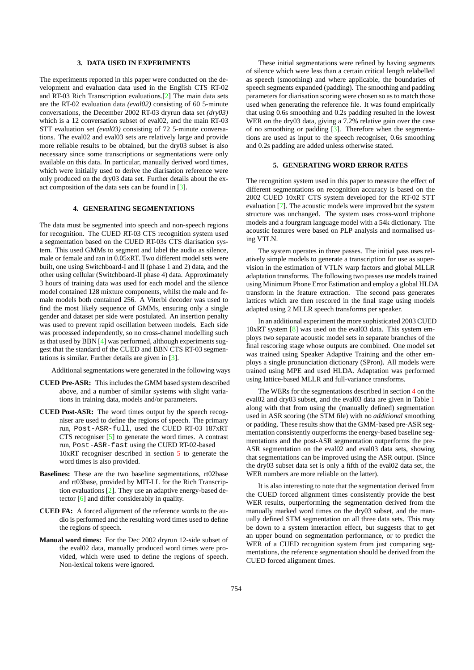#### **3. DATA USED IN EXPERIMENTS**

<span id="page-1-0"></span>The experiments reported in this paper were conducted on the development and evaluation data used in the English CTS RT-02 and RT-03 Rich Transcription evaluations.[2] The main data sets are the RT-02 evaluation data *(eval02)* consisting of 60 5-minute conversations, the December 2002 RT-03 dryrun data set *(dry03)* which is a 12 conversation subset of eval02, and the main RT-03 STT evaluation set *(eval03)* consisting of 72 5-minute conversations. The eval02 and eval03 sets are relati[ve](#page-3-0)ly large and provide more reliable results to be obtained, but the dry03 subset is also necessary since some transcriptions or segmentations were only available on this data. In particular, manually derived word times, which were initially used to derive the diarisation reference were only produced on the dry03 data set. Further details about the exact composition of the data sets can be found in [3].

#### **4. GENERATING SEGMENTATIONS**

The data must be segmented into speech and n[on-](#page-3-0)speech regions for recognition. The CUED RT-03 CTS recognition system used a segmentation based on the CUED RT-03s CTS diarisation system. This used GMMs to segment and label the audio as silence, male or female and ran in 0.05xRT. Two different model sets were built, one using Switchboard-I and II (phase 1 and 2) data, and the other using cellular (Switchboard-II phase 4) data. Approximately 3 hours of training data was used for each model and the silence model contained 128 mixture components, whilst the male and female models both contained 256. A Viterbi decoder was used to find the most likely sequence of GMMs, ensuring only a single gender and dataset per side were postulated. An insertion penalty was used to prevent rapid oscillation between models. Each side was processed independently, so no cross-channel modelling such as that used by BBN [4] was performed, although experiments suggest that the standard of the CUED and BBN CTS RT-03 segmentations is similar. Further details are given in [3].

Additional segmentations were generated in the following ways

- **CUED Pre-ASR:** T[his](#page-3-0) includes the GMM based system described above, and a number of similar systems with slight variations in training data, models and/or p[ara](#page-3-0)meters.
- **CUED Post-ASR:** The word times output by the speech recogniser are used to define the regions of speech. The primary run, Post-ASR-full, used the CUED RT-03 187xRT CTS recogniser [5] to generate the word times. A contrast run, Post-ASR-fast using the CUED RT-02-based 10xRT recogniser described in section 5 to generate the word times is also provided.
- **Baselines:** These are t[he](#page-3-0) two baseline segmentations, rt02base and rt03base, provided by MIT-LL for the Rich Transcription evaluations [2]. They use an adaptive energy-based detector [6] and differ considerably in quality.
- **CUED FA:** A forced alignment of the reference words to the audio is performed and the resulting word times used to define the regions of sp[ee](#page-3-0)ch.
- **Manual wor[d t](#page-3-0)imes:** For the Dec 2002 dryrun 12-side subset of the eval02 data, manually produced word times were provided, which were used to define the regions of speech. Non-lexical tokens were ignored.

These initial segmentations were refined by having segments of silence which were less than a certain critical length relabelled as speech (smoothing) and where applicable, the boundaries of speech segments expanded (padding). The smoothing and padding parameters for diarisation scoring were chosen so as to match those used when generating the reference file. It was found empirically that using 0.6s smoothing and 0.2s padding resulted in the lowest WER on the dry03 data, giving a 7.2% relative gain over the case of no smoothing or padding [3]. Therefore when the segmentations are used as input to the speech recogniser, 0.6s smoothing and 0.2s padding are added unless otherwise stated.

### **5. GENERATING [W](#page-3-0)ORD ERROR RATES**

The recognition system used in this paper to measure the effect of different segmentations on recognition accuracy is based on the 2002 CUED 10xRT CTS system developed for the RT-02 STT evaluation [7]. The acoustic models were improved but the system structure was unchanged. The system uses cross-word triphone models and a fourgram language model with a 54k dictionary. The acoustic features were based on PLP analysis and normalised using VTLN.

The sy[ste](#page-3-0)m operates in three passes. The initial pass uses relatively simple models to generate a transcription for use as supervision in the estimation of VTLN warp factors and global MLLR adaptation transforms. The following two passes use models trained using Minimum Phone Error Estimation and employ a global HLDA transform in the feature extraction. The second pass generates lattices which are then rescored in the final stage using models adapted using 2 MLLR speech transforms per speaker.

In an additional experiment the more sophisticated 2003 CUED 10xRT system [8] was used on the eval03 data. This system employs two separate acoustic model sets in separate branches of the final rescoring stage whose outputs are combined. One model set was trained using Speaker Adaptive Training and the other employs a single pronunciation dictionary (SPron). All models were trained using [MP](#page-3-0)E and used HLDA. Adaptation was performed using lattice-based MLLR and full-variance transforms.

The WERs for the segmentations described in section 4 on the eval02 and dry03 subset, and the eval03 data are given in Table 1 along with that from using the (manually defined) segmentation used in ASR scoring (the STM file) with no *additional* smoothing or padding. These results show that the GMM-based pre-ASR segmentation consistently outperforms the energy-based baseline segmentations and the post-ASR segmentation outperforms the pr[e-](#page-2-0)ASR segmentation on the eval02 and eval03 data sets, showing that segmentations can be improved using the ASR output. (Since the dry03 subset data set is only a fifth of the eval02 data set, the WER numbers are more reliable on the latter).

It is also interesting to note that the segmentation derived from the CUED forced alignment times consistently provide the best WER results, outperforming the segmentation derived from the manually marked word times on the dry03 subset, and the manually defined STM segmentation on all three data sets. This may be down to a system interaction effect, but suggests that to get an upper bound on segmentation performance, or to predict the WER of a CUED recognition system from just comparing segmentations, the reference segmentation should be derived from the CUED forced alignment times.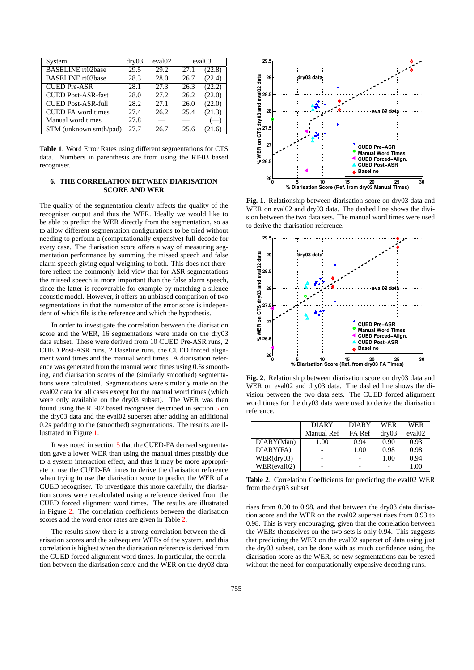<span id="page-2-0"></span>

| System                    | $\frac{drv}{03}$ | eval <sub>02</sub> | eval <sub>03</sub> |        |
|---------------------------|------------------|--------------------|--------------------|--------|
| <b>BASELINE</b> rt02base  | 29.5             | 29.2               | 27.1               | (22.8) |
| <b>BASELINE</b> rt03base  | 28.3             | 28.0               | 26.7               | (22.4) |
| <b>CUED Pre-ASR</b>       | 28.1             | 27.3               | 26.3               | (22.2) |
| <b>CUED Post-ASR-fast</b> | 28.0             | 27.2               | 26.2               | (22.0) |
| <b>CUED Post-ASR-full</b> | 28.2             | 27.1               | 26.0               | (22.0) |
| <b>CUED FA word times</b> | 27.4             | 26.2               | 25.4               | (21.3) |
| Manual word times         | 27.8             |                    |                    | $-$    |
| STM (unknown smth/pad)    | 27.7             | 26.7               | 25.6               | .6)    |

**Table 1**. Word Error Rates using different segmentations for CTS data. Numbers in parenthesis are from using the RT-03 based recogniser.

# **6. THE CORRELATION BETWEEN DIARISATION SCORE AND WER**

The quality of the segmentation clearly affects the quality of the recogniser output and thus the WER. Ideally we would like to be able to predict the WER directly from the segmentation, so as to allow different segmentation configurations to be tried without needing to perform a (computationally expensive) full decode for every case. The diarisation score offers a way of measuring segmentation performance by summing the missed speech and false alarm speech giving equal weighting to both. This does not therefore reflect the commonly held view that for ASR segmentations the missed speech is more important than the false alarm speech, since the latter is recoverable for example by matching a silence acoustic model. However, it offers an unbiased comparison of two segmentations in that the numerator of the error score is independent of which file is the reference and which the hypothesis.

In order to investigate the correlation between the diarisation score and the WER, 16 segmentations were made on the dry03 data subset. These were derived from 10 CUED Pre-ASR runs, 2 CUED Post-ASR runs, 2 Baseline runs, the CUED forced alignment word times and the manual word times. A diarisation reference was generated from the manual word times using 0.6s smoothing, and diarisation scores of the (similarly smoothed) segmentations were calculated. Segmentations were similarly made on the eval02 data for all cases except for the manual word times (which were only available on the dry03 subset). The WER was then found using the RT-02 based recogniser described in section 5 on the dry03 data and the eval02 superset after adding an additional 0.2s padding to the (smoothed) segmentations. The results are illustrated in Figure 1.

It was noted in section 5 that the CUED-FA derived segm[en](#page-1-0)tation gave a lower WER than using the manual times possibly due to a system interaction effect, and thus it may be more appropriate to use the CUED-FA times to derive the diarisation reference when trying to use the diarisation score to predict the WER of a CUED recogniser. To inv[est](#page-1-0)igate this more carefully, the diarisation scores were recalculated using a reference derived from the CUED forced alignment word times. The results are illustrated in Figure 2. The correlation coefficients between the diarisation scores and the word error rates are given in Table 2.

The results show there is a strong correlation between the diarisation scores and the subsequent WERs of the system, and this correlation is highest when the diarisation reference is derived from the CUED forced alignment word times. In particular, the correlation between the diarisation score and the WER on the dry03 data



**Fig. 1**. Relationship between diarisation score on dry03 data and WER on eval02 and dry03 data. The dashed line shows the division between the two data sets. The manual word times were used to derive the diarisation reference.



**Fig. 2**. Relationship between diarisation score on dry03 data and WER on eval02 and dry03 data. The dashed line shows the division between the two data sets. The CUED forced alignment word times for the dry03 data were used to derive the diarisation reference.

|             | <b>DIARY</b> | <b>DIARY</b> | <b>WER</b>       | <b>WER</b>         |
|-------------|--------------|--------------|------------------|--------------------|
|             | Manual Ref   | FA Ref       | $\frac{dry03}{}$ | eval <sub>02</sub> |
| DIARY(Man)  | 1.00         | 0.94         | 0.90             | 0.93               |
| DIARY(FA)   |              | 1.00         | 0.98             | 0.98               |
| WER(dry03)  |              |              | 1.00             | 0.94               |
| WER(eval02) |              |              |                  | 1.00               |

**Table 2**. Correlation Coefficients for predicting the eval02 WER from the dry03 subset

rises from 0.90 to 0.98, and that between the dry03 data diarisation score and the WER on the eval02 superset rises from 0.93 to 0.98. This is very encouraging, given that the correlation between the WERs themselves on the two sets is only 0.94. This suggests that predicting the WER on the eval02 superset of data using just the dry03 subset, can be done with as much confidence using the diarisation score as the WER, so new segmentations can be tested without the need for computationally expensive decoding runs.